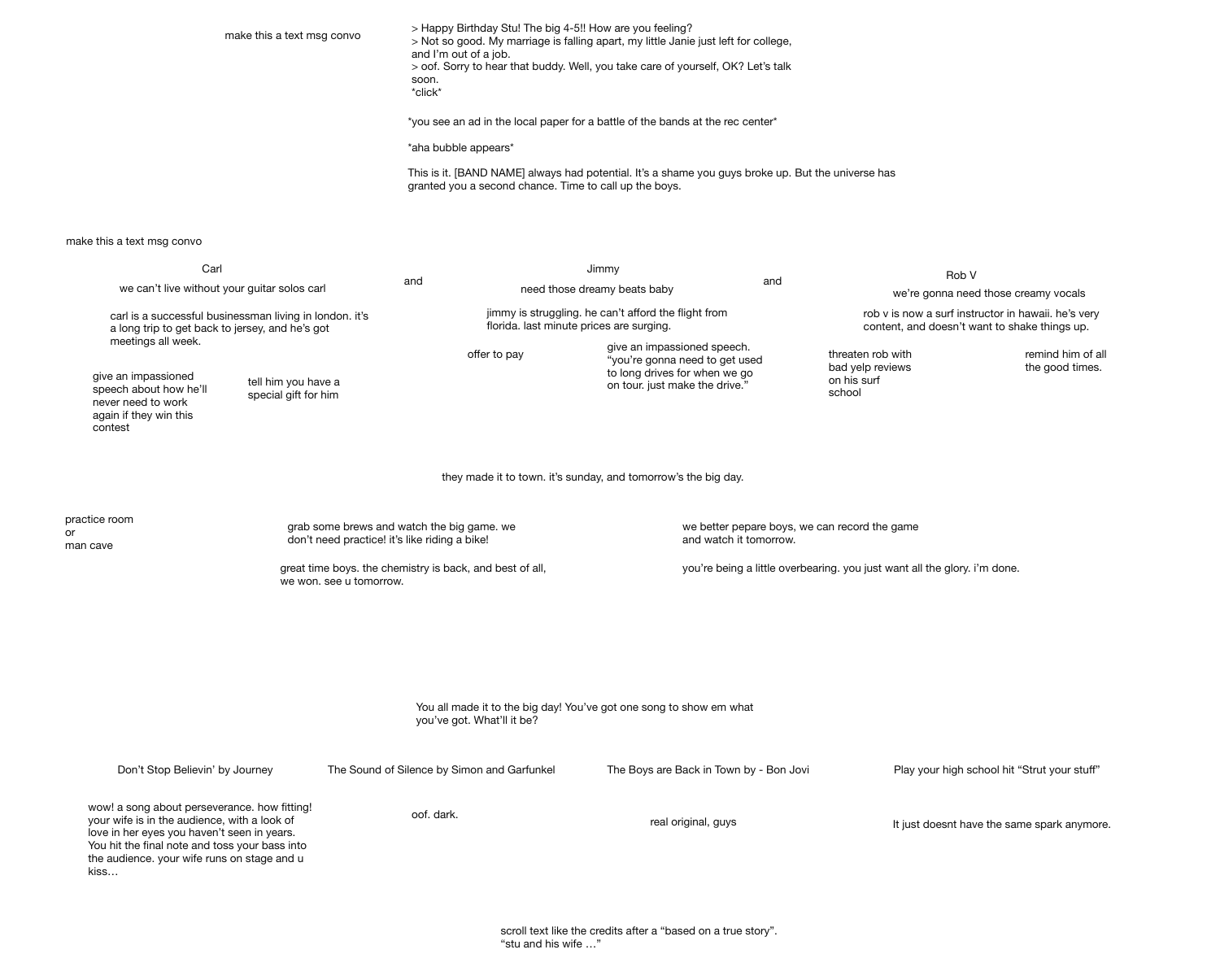> Happy Birthday Stu! The big 4-5!! How are you feeling? > Not so good. My marriage is falling apart, my little Janie just left for college, and I'm out of a job.

> oof. Sorry to hear that buddy. Well, you take care of yourself, OK? Let's talk soon.

\*click\*

\*you see an ad in the local paper for a battle of the bands at the rec center\*

\*aha bubble appears\*

This is it. [BAND NAME] always had potential. It's a shame you guys broke up. But the universe has granted you a second chance. Time to call up the boys.

| Carl<br>we can't live without your guitar solos carl<br>carl is a successful businessman living in london. it's<br>a long trip to get back to jersey, and he's got                                                                                   |                                                                                                   |                                                                                             | Jimmy                                                                                            |                                                                                                                                  |                                                                         | Rob V                                                          |  |
|------------------------------------------------------------------------------------------------------------------------------------------------------------------------------------------------------------------------------------------------------|---------------------------------------------------------------------------------------------------|---------------------------------------------------------------------------------------------|--------------------------------------------------------------------------------------------------|----------------------------------------------------------------------------------------------------------------------------------|-------------------------------------------------------------------------|----------------------------------------------------------------|--|
|                                                                                                                                                                                                                                                      |                                                                                                   | and                                                                                         |                                                                                                  | need those dreamy beats baby                                                                                                     |                                                                         | we're gonna nee                                                |  |
|                                                                                                                                                                                                                                                      |                                                                                                   |                                                                                             | jimmy is struggling. he can't afford the flight from<br>florida. last minute prices are surging. |                                                                                                                                  |                                                                         | rob v is now a surf insti<br>content, and doesn't w            |  |
| meetings all week.<br>give an impassioned<br>speech about how he'll<br>never need to work<br>again if they win this<br>contest                                                                                                                       | tell him you have a<br>special gift for him                                                       |                                                                                             | offer to pay                                                                                     | give an impassioned speech.<br>"you're gonna need to get used<br>to long drives for when we go<br>on tour. just make the drive." |                                                                         | threaten rob with<br>bad yelp reviews<br>on his surf<br>school |  |
|                                                                                                                                                                                                                                                      | they made it to town. it's sunday, and tomorrow's the big day.                                    |                                                                                             |                                                                                                  |                                                                                                                                  |                                                                         |                                                                |  |
| practice room<br>or<br>man cave<br>we won. see u tomorrow.                                                                                                                                                                                           |                                                                                                   | grab some brews and watch the big game. we<br>don't need practice! it's like riding a bike! |                                                                                                  |                                                                                                                                  | we better pepare boys, we can record the game<br>and watch it tomorrow. |                                                                |  |
|                                                                                                                                                                                                                                                      |                                                                                                   |                                                                                             | great time boys. the chemistry is back, and best of all,                                         | you're being a little overbearing. you just want all the glory.                                                                  |                                                                         |                                                                |  |
|                                                                                                                                                                                                                                                      |                                                                                                   |                                                                                             |                                                                                                  |                                                                                                                                  |                                                                         |                                                                |  |
|                                                                                                                                                                                                                                                      | You all made it to the big day! You've got one song to show em what<br>you've got. What'll it be? |                                                                                             |                                                                                                  |                                                                                                                                  |                                                                         |                                                                |  |
| Don't Stop Believin' by Journey                                                                                                                                                                                                                      |                                                                                                   |                                                                                             | The Sound of Silence by Simon and Garfunkel                                                      | The Boys are Back in Town by - Bon Jovi                                                                                          |                                                                         | Play your high so                                              |  |
| wow! a song about perseverance. how fitting!<br>your wife is in the audience, with a look of<br>love in her eyes you haven't seen in years.<br>You hit the final note and toss your bass into<br>the audience. your wife runs on stage and u<br>kiss |                                                                                                   | oof. dark.                                                                                  |                                                                                                  | real original, guys                                                                                                              |                                                                         | It just doesnt hav                                             |  |

rob v is now a surf instructor in hawaii. he's very content, and doesn't want to shake things up.

> remind him of all the good times.

ng. you just want all the glory. i'm done.

Play your high school hit "Strut your stuff"

It just doesnt have the same spark anymore.

make this a text msg convo

make this a text msg convo

we're gonna need those creamy vocals